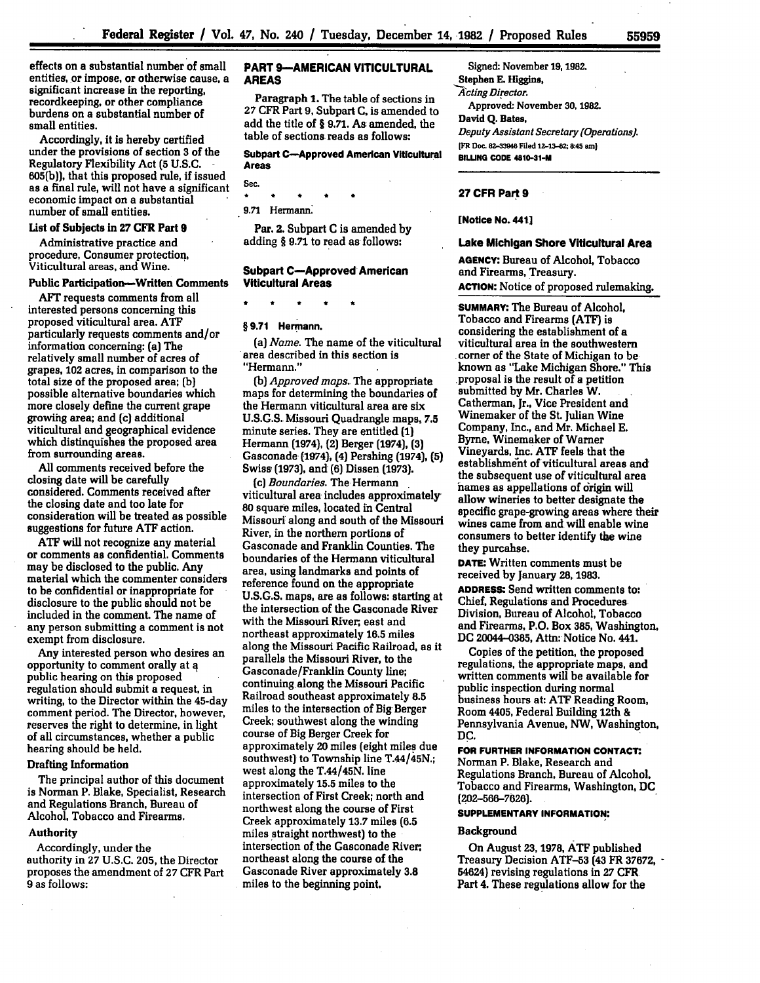effects on a substantial number of small entities, or impose, or otherwise cause, a significant increase in the reporting, recordkeeping, or other compliance burdens on a substantial number of small entities.

Accordingly, it is hereby certified under the provisions of section **3** of the Regulatory Flexibility Act **(5 U.S.C. 605(b)),** that this proposed **rule,** if issued as a final rule, will not have a significant economic impact on a substantial number of small entities.

### List of Subjects in **27 CFR** Part **9**

Administrative practice and procedure, Consumer protection, Viticultural areas, and Wine.

# **Public Participation-Written Comments**

AFT requests comments from all interested persons concerning this proposed viticultural area. **ATF** particularly requests comments and/or information concerning: (a) The relatively small number of acres of grapes, 102 acres, in comparison to the total size of the proposed area; **(b)** possible alternative boundaries which more closely define the current grape growiig area; and **(c)** additional viticultural and geographical evidence which distinquishes the proposed area from surrounding areas.

All comments received before the closing date will be carefully considered. Comments received after the closing date and too late for consideration will be treated as possible suggestions for future **ATF** action.

**ATF** will not recognize any material or comments as confidential. Comments may be disclosed to the public. Any material which the commenter considers to be confidential or inappropriate for disclosure to the public should not be included in the comment. The name of any person submitting a comment is not exempt from disclosure.

Any interested person who desires an opportunity to comment orally at **q** public hearing on this proposed regulation should submit a request, in writing, to the Director within the 45-day comment period. The Director, however, reserves the right to determine, in light of all circumstances, whether a public hearing should be held.

## Drafting Information

The principal author of this document is Norman P. Blake, Specialist, Research and Regulations Branch, Bureau of Alcohol, Tobacco and Firearms.

#### Authority

Accordingly, under the authority in **27** U.S.C. **205,** the Director proposes the amendment of **27** CFR Part **9** as follows:

### **PART 9-AMERICAN VITICULTURAL AREAS**

**Paragraph 1.** The table of sections in **27** CFR Part **9,** Subpart **C,** is amended to add the title of § **9.71.** As amended, the table of sections reads as follows:

### **Subpart C-Approved American Viticultural Areas**

**Sec. \* t** \* **\*k** \*

**9.71** Hermann.

Par. 2. Subpart **C** is amended **by** adding § **9.71** to read as follows:

### **Subpart C-Approved American Viticultural Areas**

# **§ 9.71 Hermann.**

*(a) Name.* The name of the viticultural area described in this section is "Hermann."

*(b) Approved maps.* The appropriate maps for determining the boundaries of the Hermann viticultural area are six **U.S.G.S.** Missouri Quadrangle maps, **7.5** minute series. They are entitled **(1)** Hermann (1974), (2) Berger (1974), **(3)** Gasconade (1974), (4) Pershing (1974), **(5)** Swiss **(1973),** and **(6)** Dissen **(1973).**

*(c) Boundaries.* The Hermann viticultural area includes approximately **80** square miles, located in Central Missouri along and south of the Missouri River, in the northern portions of Gasconade and Franklin Counties. The boundaries of the Hermann viticultural area, using landmarks and points of reference found on the appropriate **U.S.G.S.** maps, are as follows: starting at the intersection of the Gasconade River with the Missouri River, east and northeast approximately **16.5** miles along the Missouri Pacific Railroad, as it parallels the Missouri River, to the Gasconade/Franklin County line; continuing along the Missouri Pacific Railroad southeast approximately **8.5** miles to the intersection of Big Berger Creek; southwest along the winding course of Big Berger Creek for approximately 20 miles (eight miles due southwest) to Township line T.44/45N.; west along the T.44/45N. line approximately **15.5** miles to the intersection of First Creek; north and northwest along the course of First Creek approximately **13.7** miles **(6.5** miles straight northwest) to the intersection **of** the Gasconade River, northeast along the course of the Gasconade River approximately **3.8** miles to the beginning point.

Signed: November **19, 1982.** Stephen **E.** Higgins, *A cting Director.* Approved. November **30, 1982. David Q. Bates,** *Deputy Assistant Secretary (Operations).* **[FR Dc. 82-33946 Filed 12-13-82; &:45 am) BILLNG CODE 4810-31-M**

### **27 CFR Part 9**

**[Notice No. 441]**

## **Lake Michigan Shore Viticultural Area**

**AGENCY: Bureau of Alcohol,** Tobacco and Firearms, Treasury. **ACTION:** Notice of proposed rulemaking.

**SUMMARY:** The Bureau **of** Alcohol, Tobacco and Firearms **(ATF)** is considering the establishment of a viticultural area in the southwestern corner of the State of Michigan to be known as "Lake Michigan Shore." This proposal is the result of a petition submitted **by** Mr. Charles W. Catherman, Jr., Vice President and Winemaker of the St. Julian Wine Company, Inc., and Mr. Michael **F.** Byrne, Winemaker of Warner Vineyards, Inc. **ATF** feels that the establishme'nt of viticultural areas and the subsequent use of viticultural area names as appellations of origin will allow wineries to better designate the specific grape-growing areas where their wines came from and will enable wine consumers to better identify the wine they purcahse.

**DATE:** Written comments must be received **by** January **28, 1983.**

**ADDRESS:** Send written comments to: Chief, Regulations and Procedures Division, Bureau of Alcohol, Tobacco and Firearms, P.O. Box **385,** Washington, **DC** 20044-0385, Attn: Notice No. 441.

Copies of the petition, the proposed regulations, the appropriate maps, and written comments will be available for public inspection during normal business hours at: **ATF** Reading Room, Room 4405, Federal Building 12th **&** Pennsylvania Avenue, NW, Washington, **DC.**

**FOR FURTHER INFORMATION CONTACT.** Norman P. Blake, Research and Regulations Branch, Bureau of Alcohol, Tobacco and Firearms, Washington, **DC (202-566-7626.**

# **SUPPLEMENTARY INFORMATION:**

#### **Background**

On August **23, 1978, ATF** published Treasury Decision **ATF-53** (43 FR **37672, -** 54624) revising regulations in **27** CFR Part 4. These regulations allow for the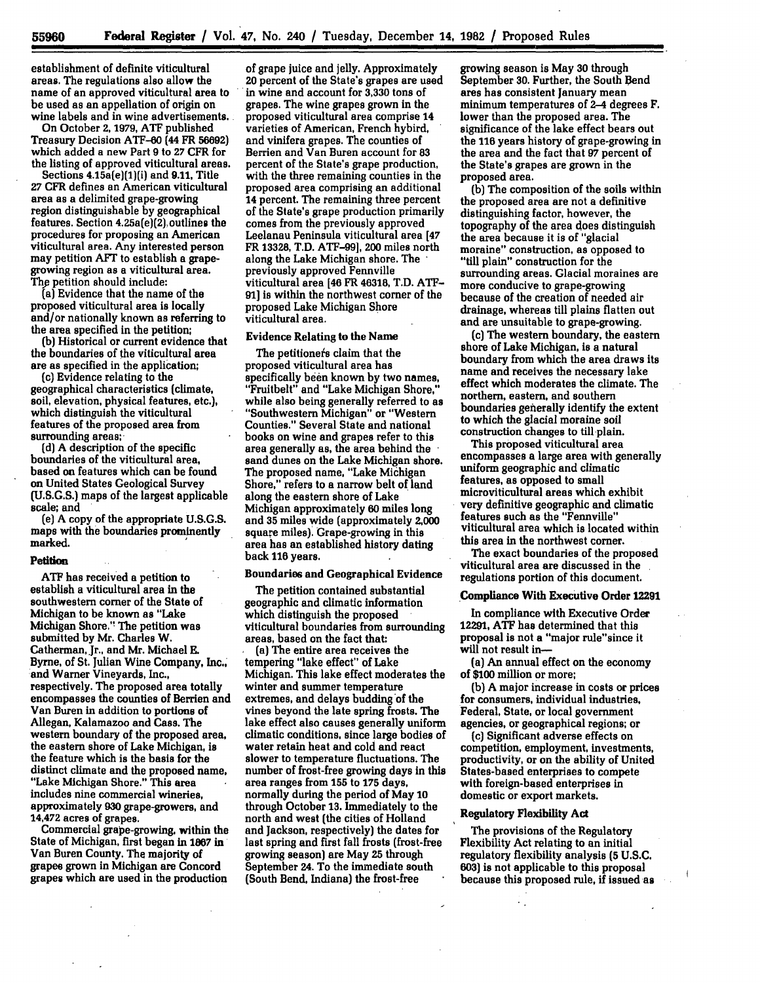establishment of definite viticultural areas. The regulations also allow the name of an approved viticultural area to be used as an appellation of origin on wine labels and in wine advertisements.

On October **2, 1979, ATF** published Treasury Decision ATF-60 (44 FR **56692)** which added a new Part 9 to 27 CFR for<br>the listing of approved viticultural areas.

Sections 4.15a(e)(1)(i) and 9.11, Title **27** CFR defines an American viticultural area as a delimited grape-growing region distinguishable **by** geographical features. Section  $4.25a(e)(2)$ , outlines the procedures for proposing an American viticultural area. Any interested person may petition AFT to establish a grapegrowing region as a viticultural area. **Thy** petition should include:

(a] Evidence that the name of the proposed viticultural area is locally and/or nationally known as referring to the area specified in the petition;

**(b)** Historical or current evidence that the boundaries of the viticultural area are as specified in the application;

(c) Evidence relating to the geographical characteristics (climate, soil, elevation, physical features, etc.), which distinguish the viticultural features of the proposed area from surrounding areas;

**(d) A** description of the specific boundaries of the viticultural area, based **on** features which can be found on United States Geological Survey **(U.S.G.S.)** maps of the largest applicable scale; and

(e) **A** copy of the appropriate **U.S.G.S.** maps with the boundaries prominently marked.

#### **Petition**

**ATF** has received a petition to establish a viticultural area in the southwestern corner of the State of Michigan to be known as "Lake Michigan Shore." The petition was submitted **by** Mr. Charles W. Catherman, Jr., and Mr. Michael **E.** Byrne, of St. Julian Wine Company, Inc., end Warner Vineyards, Inc., respectively. The proposed area totally encompasses the counties of Berrien and Van Buren in addition to portions of Allegan, Kalamazoo and Cass. The western boundary of the proposed area, the eastern shore of Lake Michigan, is the feature which is the basis for the distinct climate and the proposed name, "Lake Michigan Shore." This area includes nine commercial wineries, approximately **930** grape-growers, and 14,472 acres of grapes.

Commercial grape-growing, within the State of Michigan, first began in **1867** in Van Buren County. The majority of grapes grown in Michigan are Concord grapes which are used in the production

of grape juice and **jelly.** Approximately 20 percent of the State's grapes are used in wine and account for **3,330** tons of grapes. The wine grapes grown in the proposed viticultural area comprise 14 varieties of American, French hybird, and vinifera grapes. The counties of Berrien and Van Buren account for **83** percent of the State's grape production, with the three remaining counties in the proposed area comprising an additional 14 percent. The remaining three percent of the State's grape production primarily comes from the previously approved Leelanau Peninsula viticultural area [47 FR **13328,** T.D. **ATF-99],** 200 miles north along the Lake Michigan shore. The previously approved Fennville viticultural area [46 FR 46318, T.D. **ATF-91]** is within the northwest corner of the proposed Lake Michigan Shore viticultural area.

### Evidence Relating to the Name

The petitionefs claim that the proposed viticultural area has specifically been known **by** two names, "Fruitbelt" and "Lake Michigan Shore," while also being generally referred to as "Southwestern Michigan" or "Western Counties." Several State and national books on wine and grapes refer to this area generally as, the area behind the sand dunes on the Lake Michigan shore. The proposed name, "Lake Michigan Shore," refers to a narrow belt of land along the eastern shore of Lake Michigan approximately **60** miles long and **35** miles wide (approximately 2,000 square miles). Grape-growing in this area has an established history dating back **116** years.

# Boundaries and Geographical Evidence

The petition contained substantial geographic and climatic information which distinguish the proposed viticultural boundaries from surrounding areas, based **on** the fact that:

(a) The entire area receives the tempering "lake effect" of Lake Michigan. This lake effect moderates the winter and summer temperature extremes, and delays budding of the vines beyond the late spring frosts. The lake effect also causes generally uniform climatic conditions, since large bodies of water retain heat and cold and react slower to temperature fluctuations. The number of frost-free growing days in this area ranges from **155** to **175** days, normally during the period of May **10** through October **13.** Immediately to the north and west (the cities of Holland and Jackson, respectively] the dates for last spring and first fall frosts (frost-free growing season) are May **25** through September 24. To the immediate south (South Bend, Indiana) the frost-free

growing season is May **30** through September **30.** Further, the South Bend ares has consistent January mean minimum temperatures of 2-4 degrees F. lower than the proposed area. The significance of the lake effect bears out the 116 years history of grape-growing in the area and the fact that **97** percent of the State's grapes are grown in the proposed area.

**(b)** The composition of the soils within the proposed area are not a definitive distinguishing factor, however, the topography of the area does distinguish the area because it is of "glacial moraine" construction, as opposed to "till plain" construction for the surrounding areas. Glacial moraines are more conducive to grape-growing because of the creation of needed air drainage, whereas till plains flatten out and are unsuitable to grape-growing.

**(c)** The western boundary, the eastern shore of Lake Michigan, is a natural boundary from which the area draws its name and receives the necessary lake effect which moderates the climate. The northern, eastern, and southern boundaries generally identify the extent to which the glacial moraine soil construction changes to till plain.

This proposed viticultural area encompasses a large area with generally uniform geographic and climatic features, as opposed to small microviticultural areas which exhibit very definitive geographic and climatic features such as the "Fennville" viticultural area which is located within this area in the northwest corner.

The exact boundaries of the proposed viticultural area are discussed in the regulations portion of this document.

### Compliance With Executive Order **12291**

In compliance with Executive Order **12291, ATF** has determined that this proposal is not a "major rule"since it will not result in-

(a) An annual effect on the economy of **\$100** million or more;

**(b) A** major increase in costs or prices for consumers, individual industries, Federal, State, or local government agencies, or geographical regions; or

**(c)** Significant adverse effects on competition, employment, investments, productivity, or **on** the ability of United States-based enterprises to compete with foreign-based enterprises in domestic or export markets.

#### Regulatory Flexibility Act

 $\ddot{\phantom{0}}$ 

The provisions of the Regulatory Flexibility Act relating to an initial regulatory flexibility analysis **(5 U.S.C. 603)** is not applicable to this proposal because this proposed rule, if issued as

 $\overline{1}$